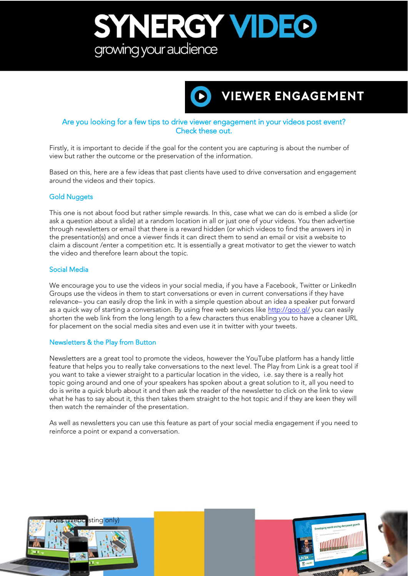## SYNERGY VIDEO growing your audience



### Are you looking for a few tips to drive viewer engagement in your videos post event? Check these out.

Firstly, it is important to decide if the goal for the content you are capturing is about the number of view but rather the outcome or the preservation of the information. view but rather the outcome or the preservation of the information.

Based on this, here are a few ideas that past clients have used to drive conversation and engagement<br>around the videos and their topics. around the videos and their topics.

#### Gold Nuggets

This one is not about food but rather simple rewards. In this, case what we can do is embed a slide (or ask a question about a slide) at a random location in all or just one of your videos. You then advertise through newsletters or email that there is a reward hidden (or which videos to find the answers in) in the presentation(s) and once a viewer finds it can direct them to send an email or visit a website to claim a discount /enter a competition etc. It is essentially a great motivator to get the viewer to watch the video and therefore learn about the topic. the video and therefore learn about the topic.

#### Social Media Social Media

We encourage you to use the videos in your social media, if you have a Facebook, Twitter or LinkedIn<br>Groups use the videos in them to start conversations or even in current conversations if they have relevance- you can easily drop the link in with a simple question about an idea a speaker put forward as a quick way of starting a conversation. By using free web services like http://goo.gl/ you can easily shorten the web link from the long length to a few characters thus enabling you to have a cleaner URL for placement on the social media sites and even use it in twitter with your tweets. for placement on the social media sites and even use it in twitter with your tweets.

#### Newsletters & the Play from Button

Newsletters are a great tool to promote the videos, however the YouTube platform has a handy little you want to take a viewer straight to a particular location in the video, i.e. say there is a really hot topic going around and one of your speakers has spoken about a great solution to it, all you need to do is write a quick blurb about it and then ask the reader of the newsletter to click on the link to view what he has to say about it, this then takes them straight to the hot topic and if they are keen they will then watch the remainder of the presentation then watch the remainder of the presentation.

As well as newsletters you can use this feature as part of your social media engagement if you need to reinforce a point or expand a conversation. reinforce a point or expand a conversation.